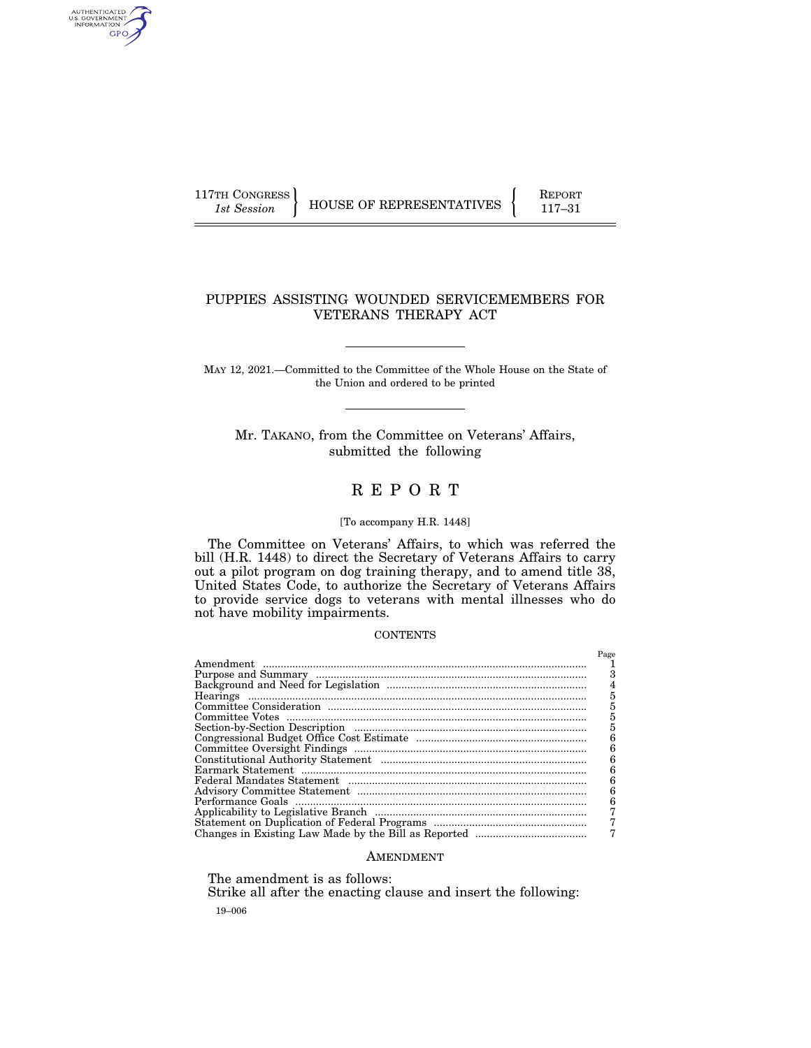AUTHENTICATED<br>U.S. GOVERNMENT<br>INFORMATION GPO

 $\left\{\begin{array}{c} \text{117TH CONGRESS} \\ \text{1st Session} \end{array}\right\}$  HOUSE OF REPRESENTATIVES  $\left\{\begin{array}{c} \text{REPORT} \\ 117-31 \end{array}\right\}$ 

## PUPPIES ASSISTING WOUNDED SERVICEMEMBERS FOR VETERANS THERAPY ACT

MAY 12, 2021.—Committed to the Committee of the Whole House on the State of the Union and ordered to be printed

Mr. TAKANO, from the Committee on Veterans' Affairs, submitted the following

# R E P O R T

### [To accompany H.R. 1448]

The Committee on Veterans' Affairs, to which was referred the bill (H.R. 1448) to direct the Secretary of Veterans Affairs to carry out a pilot program on dog training therapy, and to amend title 38, United States Code, to authorize the Secretary of Veterans Affairs to provide service dogs to veterans with mental illnesses who do not have mobility impairments.

### **CONTENTS**

| Page |
|------|
|      |
|      |
| 4    |
| 5    |
| 5    |
| 5    |
| 5    |
| 6    |
| 6    |
| 6    |
| 6    |
| 6    |
| 6    |
| 6    |
|      |
|      |
|      |

### AMENDMENT

The amendment is as follows:

19–006 Strike all after the enacting clause and insert the following: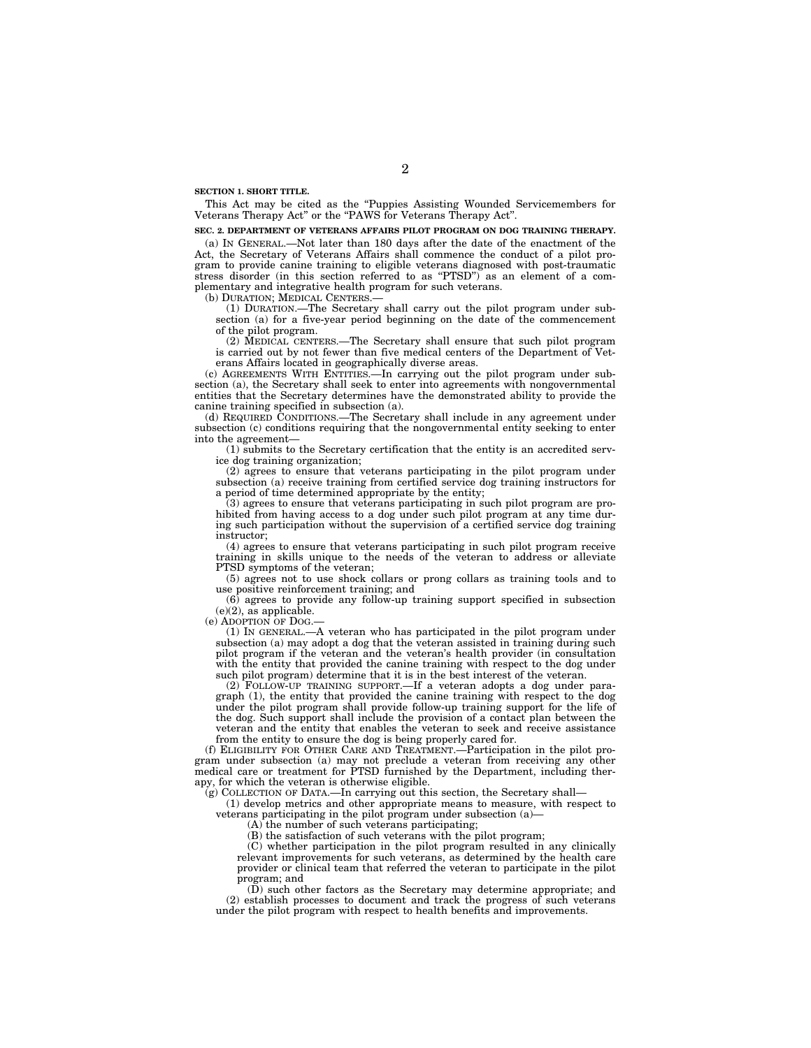**SECTION 1. SHORT TITLE.** 

This Act may be cited as the ''Puppies Assisting Wounded Servicemembers for Veterans Therapy Act'' or the ''PAWS for Veterans Therapy Act''.

#### **SEC. 2. DEPARTMENT OF VETERANS AFFAIRS PILOT PROGRAM ON DOG TRAINING THERAPY.**

(a) IN GENERAL.—Not later than 180 days after the date of the enactment of the Act, the Secretary of Veterans Affairs shall commence the conduct of a pilot program to provide canine training to eligible veterans diagnosed with post-traumatic stress disorder (in this section referred to as "PTSD") as an element of a complementary and integrative health program for such veterans.

(b) DURATION; MEDICAL CENTERS.—

(1) DURATION.—The Secretary shall carry out the pilot program under subsection (a) for a five-year period beginning on the date of the commencement of the pilot program.

(2) MEDICAL CENTERS.—The Secretary shall ensure that such pilot program is carried out by not fewer than five medical centers of the Department of Veterans Affairs located in geographically diverse areas.

(c) AGREEMENTS WITH ENTITIES.—In carrying out the pilot program under subsection (a), the Secretary shall seek to enter into agreements with nongovernmental entities that the Secretary determines have the demonstrated ability to provide the canine training specified in subsection (a).

(d) REQUIRED CONDITIONS.—The Secretary shall include in any agreement under subsection (c) conditions requiring that the nongovernmental entity seeking to enter into the agreement—

(1) submits to the Secretary certification that the entity is an accredited service dog training organization;

(2) agrees to ensure that veterans participating in the pilot program under subsection (a) receive training from certified service dog training instructors for a period of time determined appropriate by the entity;

(3) agrees to ensure that veterans participating in such pilot program are prohibited from having access to a dog under such pilot program at any time during such participation without the supervision of a certified service dog training instructor;

(4) agrees to ensure that veterans participating in such pilot program receive training in skills unique to the needs of the veteran to address or alleviate PTSD symptoms of the veteran;

(5) agrees not to use shock collars or prong collars as training tools and to use positive reinforcement training; and

(6) agrees to provide any follow-up training support specified in subsection  $(e)(2)$ , as applicable.

(e) ADOPTION OF DOG.—

(1) IN GENERAL.—A veteran who has participated in the pilot program under subsection (a) may adopt a dog that the veteran assisted in training during such pilot program if the veteran and the veteran's health provider (in consultation with the entity that provided the canine training with respect to the dog under such pilot program) determine that it is in the best interest of the veteran.

(2) FOLLOW-UP TRAINING SUPPORT.—If a veteran adopts a dog under paragraph (1), the entity that provided the canine training with respect to the dog under the pilot program shall provide follow-up training support for the life of the dog. Such support shall include the provision of a contact plan between the veteran and the entity that enables the veteran to seek and receive assistance from the entity to ensure the dog is being properly cared for.

(f) ELIGIBILITY FOR OTHER CARE AND TREATMENT.—Participation in the pilot program under subsection (a) may not preclude a veteran from receiving any other medical care or treatment for PTSD furnished by the Department, including therapy, for which the veteran is otherwise eligible.

(g) COLLECTION OF DATA.—In carrying out this section, the Secretary shall—

(1) develop metrics and other appropriate means to measure, with respect to veterans participating in the pilot program under subsection (a)-

(A) the number of such veterans participating;

(B) the satisfaction of such veterans with the pilot program;

(C) whether participation in the pilot program resulted in any clinically relevant improvements for such veterans, as determined by the health care provider or clinical team that referred the veteran to participate in the pilot program; and

(D) such other factors as the Secretary may determine appropriate; and (2) establish processes to document and track the progress of such veterans under the pilot program with respect to health benefits and improvements.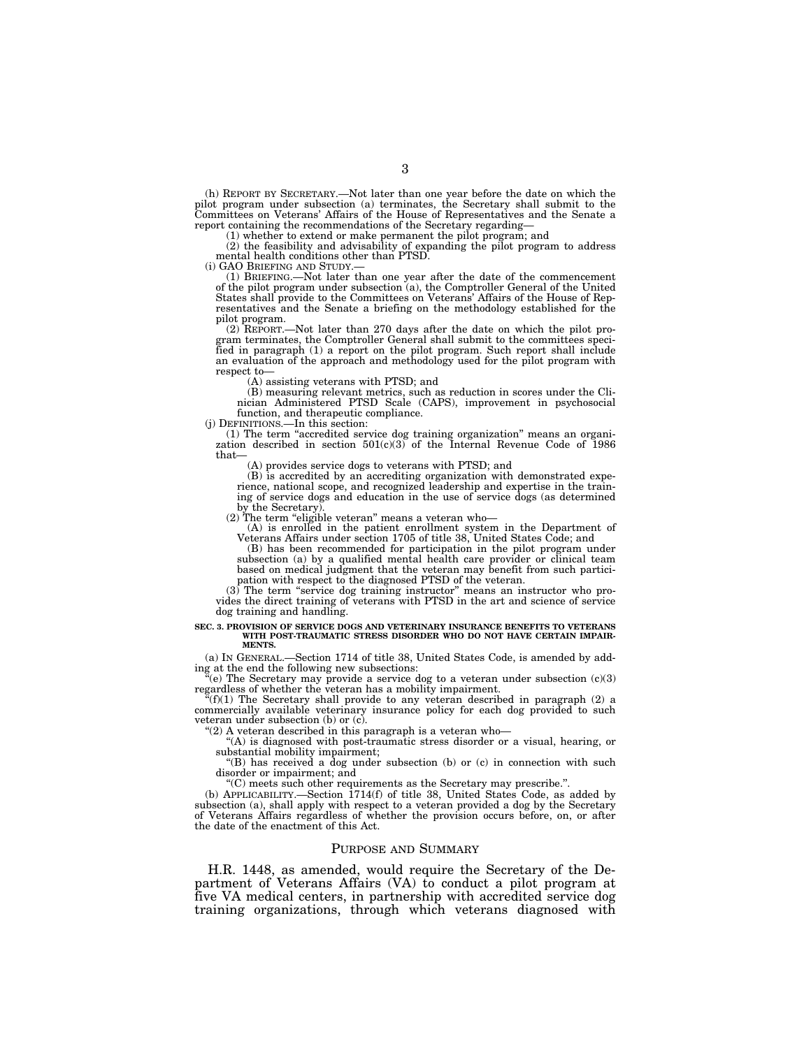(h) REPORT BY SECRETARY.—Not later than one year before the date on which the pilot program under subsection (a) terminates, the Secretary shall submit to the Committees on Veterans' Affairs of the House of Representatives and the Senate a report containing the recommendations of the Secretary regarding—

(1) whether to extend or make permanent the pilot program; and (2) the feasibility and advisability of expanding the pilot program to address mental health conditions other than PTSD.<br>(i) GAO BRIEFING AND STUDY.—

(1) BRIEFING.—Not later than one year after the date of the commencement of the pilot program under subsection (a), the Comptroller General of the United States shall provide to the Committees on Veterans' Affairs of the House of Representatives and the Senate a briefing on the methodology established for the pilot program.

(2) REPORT.—Not later than 270 days after the date on which the pilot pro-gram terminates, the Comptroller General shall submit to the committees specified in paragraph (1) a report on the pilot program. Such report shall include an evaluation of the approach and methodology used for the pilot program with respect to—

(A) assisting veterans with PTSD; and

(B) measuring relevant metrics, such as reduction in scores under the Cli-nician Administered PTSD Scale (CAPS), improvement in psychosocial function, and therapeutic compliance.

(j) DEFINITIONS.—In this section:

(1) The term "accredited service dog training organization" means an organization described in section  $501(c)(3)$  of the Internal Revenue Code of 1986 that—

(A) provides service dogs to veterans with PTSD; and

(B) is accredited by an accrediting organization with demonstrated experience, national scope, and recognized leadership and expertise in the training of service dogs and education in the use of service dogs (as determined by the Secretary).

 $(2)$  The term "eligible veteran" means a veteran who-

(A) is enrolled in the patient enrollment system in the Department of Veterans Affairs under section 1705 of title 38, United States Code; and

(B) has been recommended for participation in the pilot program under subsection (a) by a qualified mental health care provider or clinical team based on medical judgment that the veteran may benefit from such participation with respect to the diagnosed PTSD of the veteran.

(3) The term ''service dog training instructor'' means an instructor who provides the direct training of veterans with PTSD in the art and science of service dog training and handling.

### **SEC. 3. PROVISION OF SERVICE DOGS AND VETERINARY INSURANCE BENEFITS TO VETERANS WITH POST-TRAUMATIC STRESS DISORDER WHO DO NOT HAVE CERTAIN IMPAIR-MENTS.**

(a) IN GENERAL.—Section 1714 of title 38, United States Code, is amended by adding at the end the following new subsections:

 $(e)$  The Secretary may provide a service dog to a veteran under subsection  $(c)(3)$ 

regardless of whether the veteran has a mobility impairment.<br>
"(f)(1) The Secretary shall provide to any veteran described in paragraph (2) a<br>
commercially available veterinary insurance policy for each dog provided to suc veteran under subsection (b) or (c).

''(2) A veteran described in this paragraph is a veteran who—

''(A) is diagnosed with post-traumatic stress disorder or a visual, hearing, or substantial mobility impairment;

''(B) has received a dog under subsection (b) or (c) in connection with such disorder or impairment; and

''(C) meets such other requirements as the Secretary may prescribe.''. (b) APPLICABILITY.—Section 1714(f) of title 38, United States Code, as added by subsection (a), shall apply with respect to a veteran provided a dog by the Secretary of Veterans Affairs regardless of whether the provision occurs before, on, or after the date of the enactment of this Act.

#### PURPOSE AND SUMMARY

H.R. 1448, as amended, would require the Secretary of the Department of Veterans Affairs (VA) to conduct a pilot program at five VA medical centers, in partnership with accredited service dog training organizations, through which veterans diagnosed with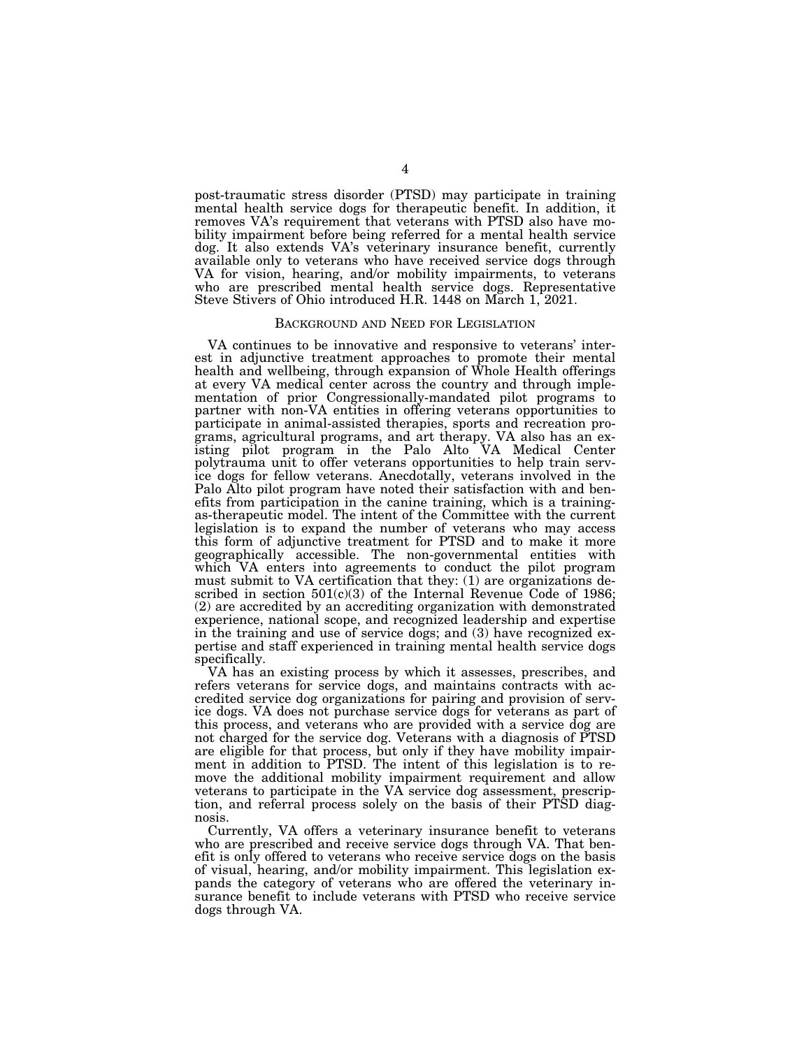post-traumatic stress disorder (PTSD) may participate in training mental health service dogs for therapeutic benefit. In addition, it removes VA's requirement that veterans with PTSD also have mobility impairment before being referred for a mental health service dog. It also extends VA's veterinary insurance benefit, currently available only to veterans who have received service dogs through VA for vision, hearing, and/or mobility impairments, to veterans who are prescribed mental health service dogs. Representative Steve Stivers of Ohio introduced H.R. 1448 on March 1, 2021.

#### BACKGROUND AND NEED FOR LEGISLATION

VA continues to be innovative and responsive to veterans' interest in adjunctive treatment approaches to promote their mental health and wellbeing, through expansion of Whole Health offerings at every VA medical center across the country and through implementation of prior Congressionally-mandated pilot programs to partner with non-VA entities in offering veterans opportunities to participate in animal-assisted therapies, sports and recreation programs, agricultural programs, and art therapy. VA also has an existing pilot program in the Palo Alto VA Medical Center polytrauma unit to offer veterans opportunities to help train service dogs for fellow veterans. Anecdotally, veterans involved in the Palo Alto pilot program have noted their satisfaction with and benefits from participation in the canine training, which is a trainingas-therapeutic model. The intent of the Committee with the current legislation is to expand the number of veterans who may access this form of adjunctive treatment for PTSD and to make it more geographically accessible. The non-governmental entities with which VA enters into agreements to conduct the pilot program must submit to VA certification that they: (1) are organizations described in section 501(c)(3) of the Internal Revenue Code of 1986; (2) are accredited by an accrediting organization with demonstrated experience, national scope, and recognized leadership and expertise in the training and use of service dogs; and (3) have recognized expertise and staff experienced in training mental health service dogs specifically.

VA has an existing process by which it assesses, prescribes, and refers veterans for service dogs, and maintains contracts with accredited service dog organizations for pairing and provision of service dogs. VA does not purchase service dogs for veterans as part of this process, and veterans who are provided with a service dog are not charged for the service dog. Veterans with a diagnosis of PTSD are eligible for that process, but only if they have mobility impairment in addition to PTSD. The intent of this legislation is to remove the additional mobility impairment requirement and allow veterans to participate in the VA service dog assessment, prescription, and referral process solely on the basis of their PTSD diagnosis.

Currently, VA offers a veterinary insurance benefit to veterans who are prescribed and receive service dogs through VA. That benefit is only offered to veterans who receive service dogs on the basis of visual, hearing, and/or mobility impairment. This legislation expands the category of veterans who are offered the veterinary insurance benefit to include veterans with PTSD who receive service dogs through VA.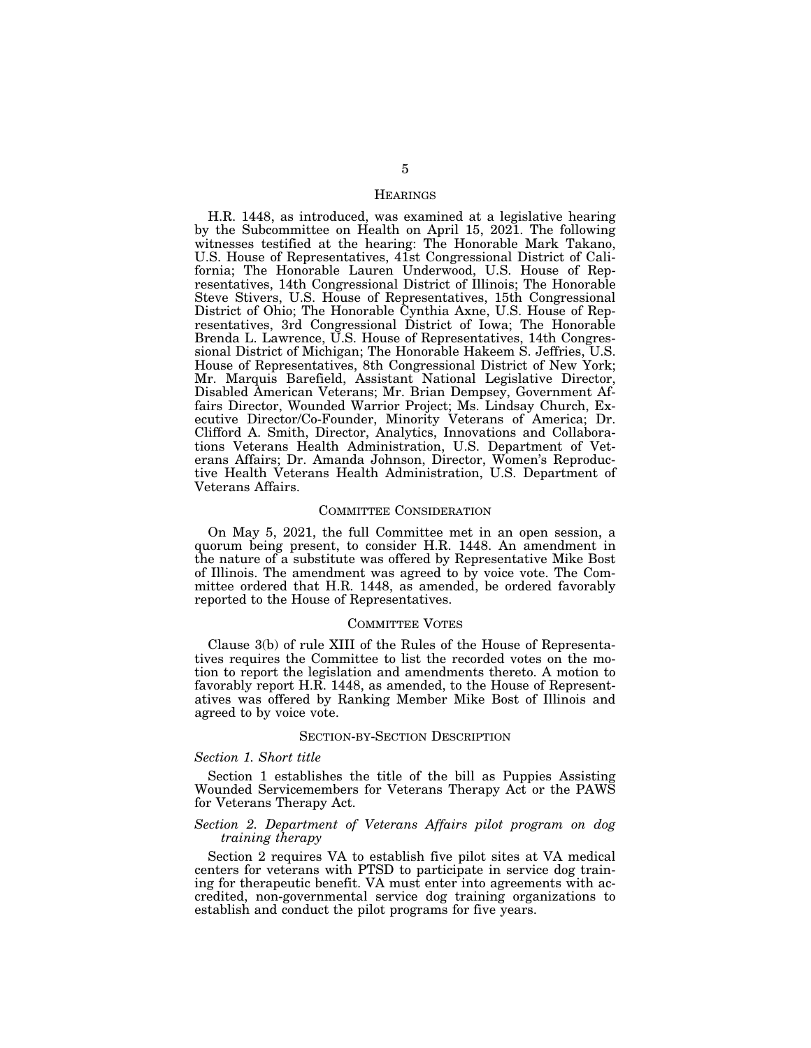#### **HEARINGS**

H.R. 1448, as introduced, was examined at a legislative hearing by the Subcommittee on Health on April 15, 2021. The following witnesses testified at the hearing: The Honorable Mark Takano, U.S. House of Representatives, 41st Congressional District of California; The Honorable Lauren Underwood, U.S. House of Representatives, 14th Congressional District of Illinois; The Honorable Steve Stivers, U.S. House of Representatives, 15th Congressional District of Ohio; The Honorable Cynthia Axne, U.S. House of Representatives, 3rd Congressional District of Iowa; The Honorable Brenda L. Lawrence, U.S. House of Representatives, 14th Congressional District of Michigan; The Honorable Hakeem S. Jeffries, U.S. House of Representatives, 8th Congressional District of New York; Mr. Marquis Barefield, Assistant National Legislative Director, Disabled American Veterans; Mr. Brian Dempsey, Government Affairs Director, Wounded Warrior Project; Ms. Lindsay Church, Executive Director/Co-Founder, Minority Veterans of America; Dr. Clifford A. Smith, Director, Analytics, Innovations and Collaborations Veterans Health Administration, U.S. Department of Veterans Affairs; Dr. Amanda Johnson, Director, Women's Reproductive Health Veterans Health Administration, U.S. Department of Veterans Affairs.

#### COMMITTEE CONSIDERATION

On May 5, 2021, the full Committee met in an open session, a quorum being present, to consider H.R. 1448. An amendment in the nature of a substitute was offered by Representative Mike Bost of Illinois. The amendment was agreed to by voice vote. The Committee ordered that H.R. 1448, as amended, be ordered favorably reported to the House of Representatives.

#### COMMITTEE VOTES

Clause 3(b) of rule XIII of the Rules of the House of Representatives requires the Committee to list the recorded votes on the motion to report the legislation and amendments thereto. A motion to favorably report H.R. 1448, as amended, to the House of Representatives was offered by Ranking Member Mike Bost of Illinois and agreed to by voice vote.

#### SECTION-BY-SECTION DESCRIPTION

#### *Section 1. Short title*

Section 1 establishes the title of the bill as Puppies Assisting Wounded Servicemembers for Veterans Therapy Act or the PAWS for Veterans Therapy Act.

#### *Section 2. Department of Veterans Affairs pilot program on dog training therapy*

Section 2 requires VA to establish five pilot sites at VA medical centers for veterans with PTSD to participate in service dog training for therapeutic benefit. VA must enter into agreements with accredited, non-governmental service dog training organizations to establish and conduct the pilot programs for five years.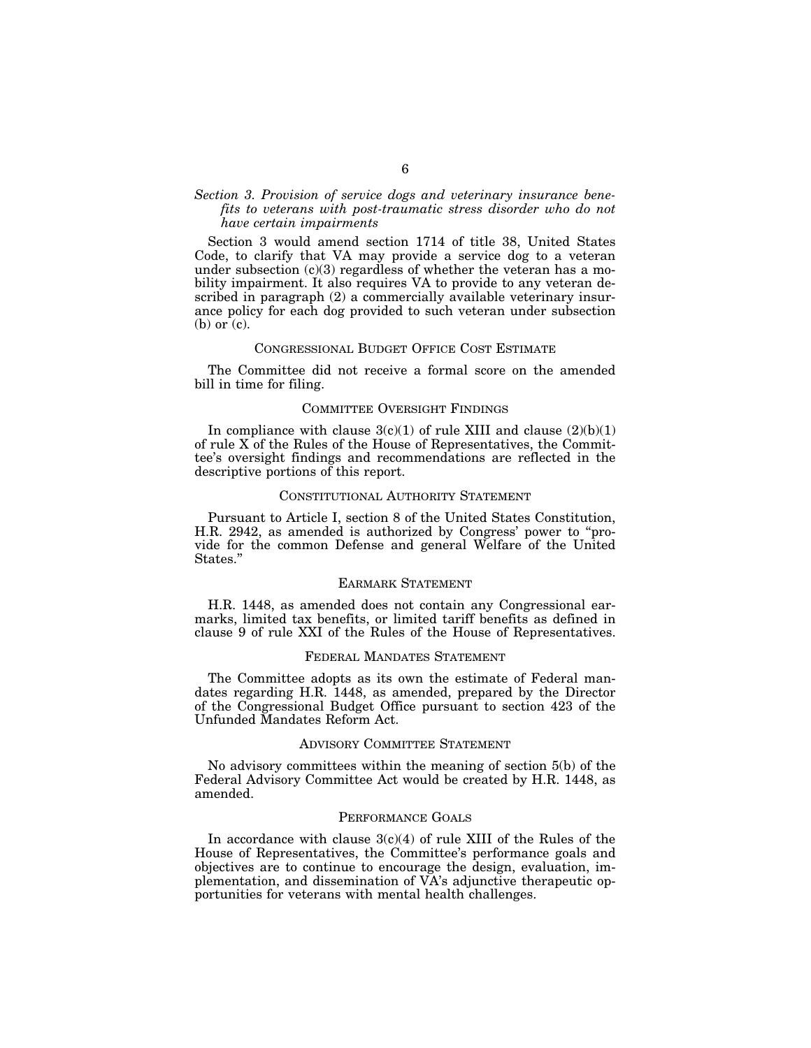### *Section 3. Provision of service dogs and veterinary insurance benefits to veterans with post-traumatic stress disorder who do not have certain impairments*

Section 3 would amend section 1714 of title 38, United States Code, to clarify that VA may provide a service dog to a veteran under subsection  $(c)(3)$  regardless of whether the veteran has a mobility impairment. It also requires VA to provide to any veteran described in paragraph (2) a commercially available veterinary insurance policy for each dog provided to such veteran under subsection (b) or (c).

#### CONGRESSIONAL BUDGET OFFICE COST ESTIMATE

The Committee did not receive a formal score on the amended bill in time for filing.

#### COMMITTEE OVERSIGHT FINDINGS

In compliance with clause  $3(c)(1)$  of rule XIII and clause  $(2)(b)(1)$ of rule X of the Rules of the House of Representatives, the Committee's oversight findings and recommendations are reflected in the descriptive portions of this report.

#### CONSTITUTIONAL AUTHORITY STATEMENT

Pursuant to Article I, section 8 of the United States Constitution, H.R. 2942, as amended is authorized by Congress' power to "provide for the common Defense and general Welfare of the United States.''

#### EARMARK STATEMENT

H.R. 1448, as amended does not contain any Congressional earmarks, limited tax benefits, or limited tariff benefits as defined in clause 9 of rule XXI of the Rules of the House of Representatives.

#### FEDERAL MANDATES STATEMENT

The Committee adopts as its own the estimate of Federal mandates regarding H.R. 1448, as amended, prepared by the Director of the Congressional Budget Office pursuant to section 423 of the Unfunded Mandates Reform Act.

#### ADVISORY COMMITTEE STATEMENT

No advisory committees within the meaning of section 5(b) of the Federal Advisory Committee Act would be created by H.R. 1448, as amended.

#### PERFORMANCE GOALS

In accordance with clause  $3(c)(4)$  of rule XIII of the Rules of the House of Representatives, the Committee's performance goals and objectives are to continue to encourage the design, evaluation, implementation, and dissemination of VA's adjunctive therapeutic opportunities for veterans with mental health challenges.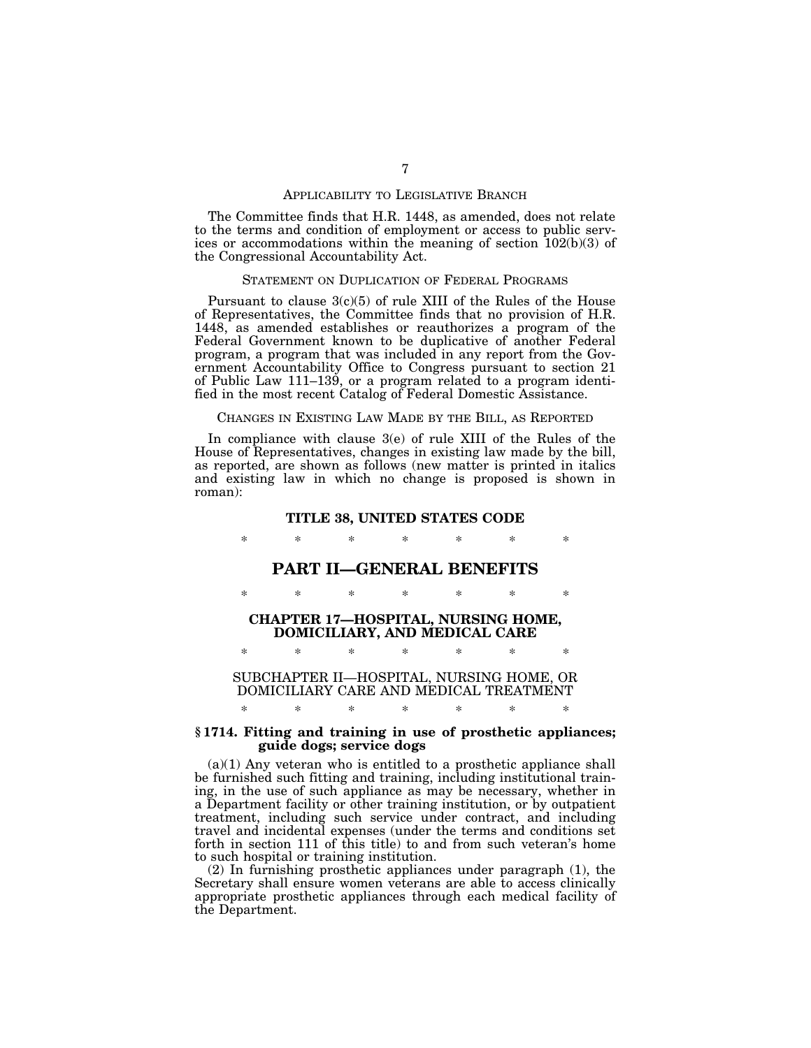#### APPLICABILITY TO LEGISLATIVE BRANCH

The Committee finds that H.R. 1448, as amended, does not relate to the terms and condition of employment or access to public services or accommodations within the meaning of section 102(b)(3) of the Congressional Accountability Act.

#### STATEMENT ON DUPLICATION OF FEDERAL PROGRAMS

Pursuant to clause  $3(c)(5)$  of rule XIII of the Rules of the House of Representatives, the Committee finds that no provision of H.R. 1448, as amended establishes or reauthorizes a program of the Federal Government known to be duplicative of another Federal program, a program that was included in any report from the Government Accountability Office to Congress pursuant to section 21 of Public Law 111–139, or a program related to a program identified in the most recent Catalog of Federal Domestic Assistance.

#### CHANGES IN EXISTING LAW MADE BY THE BILL, AS REPORTED

In compliance with clause 3(e) of rule XIII of the Rules of the House of Representatives, changes in existing law made by the bill, as reported, are shown as follows (new matter is printed in italics and existing law in which no change is proposed is shown in roman):

#### **TITLE 38, UNITED STATES CODE**

\* \* \* \* \* \* \*

## **PART II—GENERAL BENEFITS**

\* \* \* \* \* \* \*

**CHAPTER 17—HOSPITAL, NURSING HOME, DOMICILIARY, AND MEDICAL CARE** 

\* \* \* \* \* \* \*

## SUBCHAPTER II—HOSPITAL, NURSING HOME, OR DOMICILIARY CARE AND MEDICAL TREATMENT \* \* \* \* \* \* \*

#### **§ 1714. Fitting and training in use of prosthetic appliances; guide dogs; service dogs**

 $(a)(1)$  Any veteran who is entitled to a prosthetic appliance shall be furnished such fitting and training, including institutional training, in the use of such appliance as may be necessary, whether in a Department facility or other training institution, or by outpatient treatment, including such service under contract, and including travel and incidental expenses (under the terms and conditions set forth in section 111 of this title) to and from such veteran's home to such hospital or training institution.

(2) In furnishing prosthetic appliances under paragraph (1), the Secretary shall ensure women veterans are able to access clinically appropriate prosthetic appliances through each medical facility of the Department.